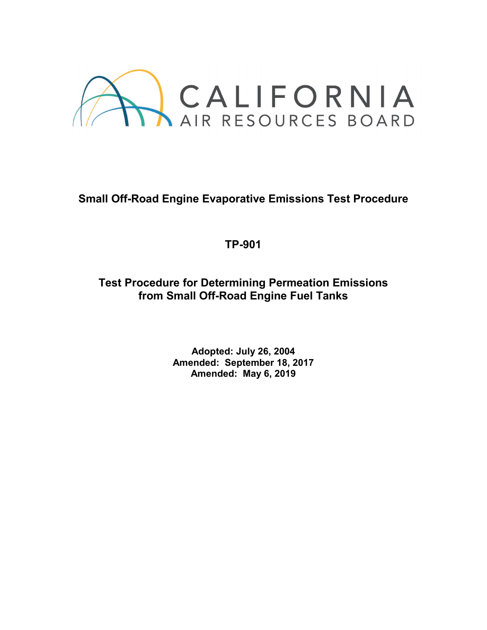

# **Small Off-Road Engine Evaporative Emissions Test Procedure**

## **TP-901**

**Test Procedure for Determining Permeation Emissions from Small Off-Road Engine Fuel Tanks**

> **Adopted: July 26, 2004 Amended: September 18, 2017 Amended: May 6, 2019**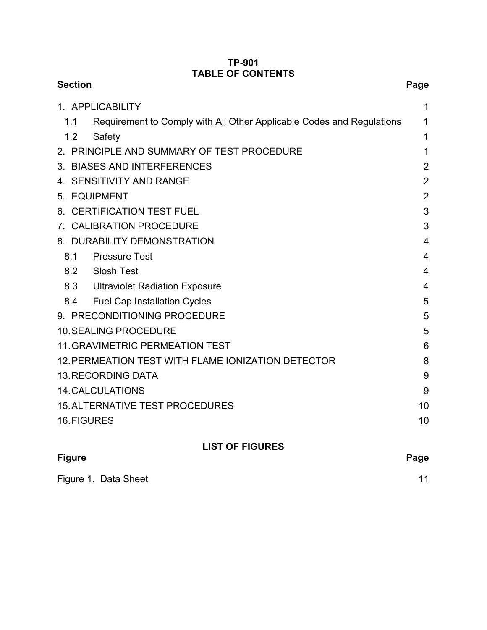#### **TP-901 TABLE OF CONTENTS**

| <b>Section</b>                                                               | Page           |
|------------------------------------------------------------------------------|----------------|
| 1. APPLICABILITY                                                             | 1              |
| 1.1<br>Requirement to Comply with All Other Applicable Codes and Regulations | 1              |
| 1.2<br>Safety                                                                | 1              |
| 2. PRINCIPLE AND SUMMARY OF TEST PROCEDURE                                   | 1              |
| 3. BIASES AND INTERFERENCES                                                  | $\overline{2}$ |
| 4. SENSITIVITY AND RANGE                                                     | $\overline{2}$ |
| 5. EQUIPMENT                                                                 | $\overline{2}$ |
| 6. CERTIFICATION TEST FUEL                                                   | 3              |
| 7. CALIBRATION PROCEDURE                                                     | 3              |
| 8. DURABILITY DEMONSTRATION                                                  | 4              |
| <b>Pressure Test</b><br>8.1                                                  | 4              |
| Slosh Test<br>8.2                                                            | $\overline{4}$ |
| 8.3 Ultraviolet Radiation Exposure                                           | 4              |
| <b>Fuel Cap Installation Cycles</b><br>8.4                                   | 5              |
| 9. PRECONDITIONING PROCEDURE                                                 | 5              |
| <b>10. SEALING PROCEDURE</b>                                                 | 5              |
| <b>11. GRAVIMETRIC PERMEATION TEST</b>                                       | 6              |
| 12. PERMEATION TEST WITH FLAME IONIZATION DETECTOR                           | 8              |
| <b>13. RECORDING DATA</b>                                                    | 9              |
| <b>14. CALCULATIONS</b>                                                      | 9              |
| <b>15. ALTERNATIVE TEST PROCEDURES</b>                                       | 10             |
| 16. FIGURES                                                                  | 10             |
| <b>LIST OF FIGURES</b>                                                       |                |
| <b>Figure</b>                                                                | Page           |
| Figure 1. Data Sheet                                                         | 11             |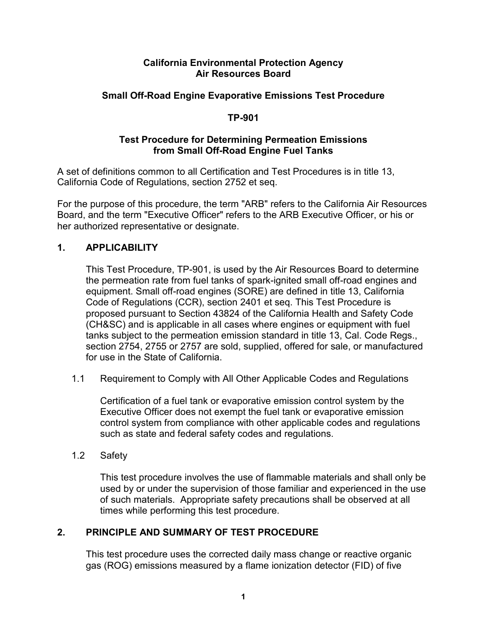#### **California Environmental Protection Agency Air Resources Board**

#### **Small Off-Road Engine Evaporative Emissions Test Procedure**

#### **TP-901**

#### **Test Procedure for Determining Permeation Emissions from Small Off-Road Engine Fuel Tanks**

A set of definitions common to all Certification and Test Procedures is in title 13, California Code of Regulations, section 2752 et seq.

For the purpose of this procedure, the term "ARB" refers to the California Air Resources Board, and the term "Executive Officer" refers to the ARB Executive Officer, or his or her authorized representative or designate.

## <span id="page-2-0"></span>**1. APPLICABILITY**

This Test Procedure, TP-901, is used by the Air Resources Board to determine the permeation rate from fuel tanks of spark-ignited small off-road engines and equipment. Small off-road engines (SORE) are defined in title 13, California Code of Regulations (CCR), section 2401 et seq. This Test Procedure is proposed pursuant to Section 43824 of the California Health and Safety Code (CH&SC) and is applicable in all cases where engines or equipment with fuel tanks subject to the permeation emission standard in title 13, Cal. Code Regs., section 2754, 2755 or 2757 are sold, supplied, offered for sale, or manufactured for use in the State of California.

<span id="page-2-1"></span>1.1 Requirement to Comply with All Other Applicable Codes and Regulations

Certification of a fuel tank or evaporative emission control system by the Executive Officer does not exempt the fuel tank or evaporative emission control system from compliance with other applicable codes and regulations such as state and federal safety codes and regulations.

<span id="page-2-2"></span>1.2 Safety

This test procedure involves the use of flammable materials and shall only be used by or under the supervision of those familiar and experienced in the use of such materials. Appropriate safety precautions shall be observed at all times while performing this test procedure.

#### <span id="page-2-3"></span>**2. PRINCIPLE AND SUMMARY OF TEST PROCEDURE**

This test procedure uses the corrected daily mass change or reactive organic gas (ROG) emissions measured by a flame ionization detector (FID) of five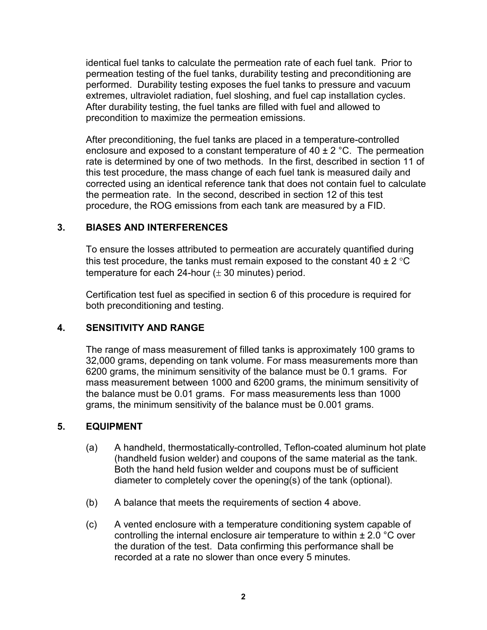identical fuel tanks to calculate the permeation rate of each fuel tank. Prior to permeation testing of the fuel tanks, durability testing and preconditioning are performed. Durability testing exposes the fuel tanks to pressure and vacuum extremes, ultraviolet radiation, fuel sloshing, and fuel cap installation cycles. After durability testing, the fuel tanks are filled with fuel and allowed to precondition to maximize the permeation emissions.

After preconditioning, the fuel tanks are placed in a temperature-controlled enclosure and exposed to a constant temperature of  $40 \pm 2$  °C. The permeation rate is determined by one of two methods. In the first, described in section 11 of this test procedure, the mass change of each fuel tank is measured daily and corrected using an identical reference tank that does not contain fuel to calculate the permeation rate. In the second, described in section 12 of this test procedure, the ROG emissions from each tank are measured by a FID.

#### <span id="page-3-0"></span>**3. BIASES AND INTERFERENCES**

To ensure the losses attributed to permeation are accurately quantified during this test procedure, the tanks must remain exposed to the constant 40  $\pm$  2 °C temperature for each 24-hour  $(\pm 30 \text{ minutes})$  period.

Certification test fuel as specified in section 6 of this procedure is required for both preconditioning and testing.

## <span id="page-3-1"></span>**4. SENSITIVITY AND RANGE**

The range of mass measurement of filled tanks is approximately 100 grams to 32,000 grams, depending on tank volume. For mass measurements more than 6200 grams, the minimum sensitivity of the balance must be 0.1 grams. For mass measurement between 1000 and 6200 grams, the minimum sensitivity of the balance must be 0.01 grams. For mass measurements less than 1000 grams, the minimum sensitivity of the balance must be 0.001 grams.

#### <span id="page-3-2"></span>**5. EQUIPMENT**

- (a) A handheld, thermostatically-controlled, Teflon-coated aluminum hot plate (handheld fusion welder) and coupons of the same material as the tank. Both the hand held fusion welder and coupons must be of sufficient diameter to completely cover the opening(s) of the tank (optional).
- (b) A balance that meets the requirements of section 4 above.
- (c) A vented enclosure with a temperature conditioning system capable of controlling the internal enclosure air temperature to within  $\pm 2.0$  °C over the duration of the test. Data confirming this performance shall be recorded at a rate no slower than once every 5 minutes.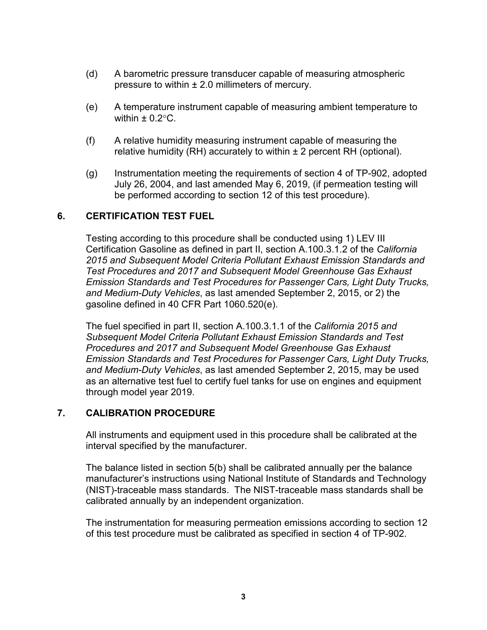- (d) A barometric pressure transducer capable of measuring atmospheric pressure to within  $\pm 2.0$  millimeters of mercury.
- (e) A temperature instrument capable of measuring ambient temperature to within  $\pm$  0.2 $\degree$ C.
- (f) A relative humidity measuring instrument capable of measuring the relative humidity (RH) accurately to within  $\pm 2$  percent RH (optional).
- (g) Instrumentation meeting the requirements of section 4 of TP-902, adopted July 26, 2004, and last amended May 6, 2019, (if permeation testing will be performed according to section 12 of this test procedure).

#### <span id="page-4-0"></span>**6. CERTIFICATION TEST FUEL**

Testing according to this procedure shall be conducted using 1) LEV III Certification Gasoline as defined in part II, section A.100.3.1.2 of the *California 2015 and Subsequent Model Criteria Pollutant Exhaust Emission Standards and Test Procedures and 2017 and Subsequent Model Greenhouse Gas Exhaust Emission Standards and Test Procedures for Passenger Cars, Light Duty Trucks, and Medium-Duty Vehicles*, as last amended September 2, 2015, or 2) the gasoline defined in 40 CFR Part 1060.520(e).

The fuel specified in part II, section A.100.3.1.1 of the *California 2015 and Subsequent Model Criteria Pollutant Exhaust Emission Standards and Test Procedures and 2017 and Subsequent Model Greenhouse Gas Exhaust Emission Standards and Test Procedures for Passenger Cars, Light Duty Trucks, and Medium-Duty Vehicles*, as last amended September 2, 2015, may be used as an alternative test fuel to certify fuel tanks for use on engines and equipment through model year 2019.

#### <span id="page-4-1"></span>**7. CALIBRATION PROCEDURE**

All instruments and equipment used in this procedure shall be calibrated at the interval specified by the manufacturer.

The balance listed in section 5(b) shall be calibrated annually per the balance manufacturer's instructions using National Institute of Standards and Technology (NIST)-traceable mass standards. The NIST-traceable mass standards shall be calibrated annually by an independent organization.

The instrumentation for measuring permeation emissions according to section 12 of this test procedure must be calibrated as specified in section 4 of TP-902.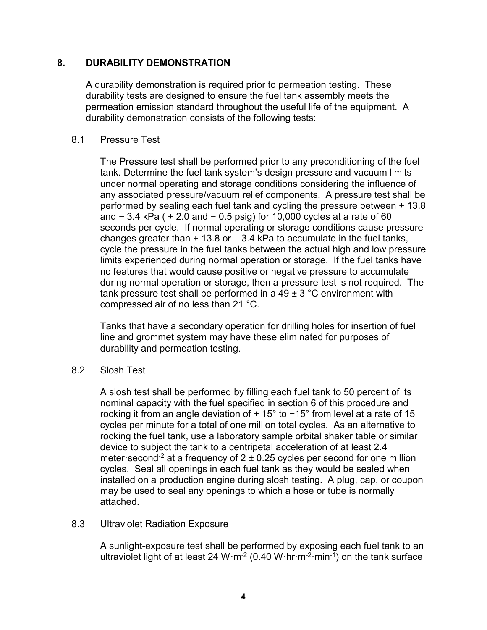#### <span id="page-5-0"></span>**8. DURABILITY DEMONSTRATION**

A durability demonstration is required prior to permeation testing. These durability tests are designed to ensure the fuel tank assembly meets the permeation emission standard throughout the useful life of the equipment. A durability demonstration consists of the following tests:

#### <span id="page-5-1"></span>8.1 Pressure Test

The Pressure test shall be performed prior to any preconditioning of the fuel tank. Determine the fuel tank system's design pressure and vacuum limits under normal operating and storage conditions considering the influence of any associated pressure/vacuum relief components. A pressure test shall be performed by sealing each fuel tank and cycling the pressure between + 13.8 and − 3.4 kPa ( + 2.0 and − 0.5 psig) for 10,000 cycles at a rate of 60 seconds per cycle. If normal operating or storage conditions cause pressure changes greater than  $+13.8$  or  $-3.4$  kPa to accumulate in the fuel tanks, cycle the pressure in the fuel tanks between the actual high and low pressure limits experienced during normal operation or storage. If the fuel tanks have no features that would cause positive or negative pressure to accumulate during normal operation or storage, then a pressure test is not required. The tank pressure test shall be performed in a  $49 \pm 3$  °C environment with compressed air of no less than 21 °C.

Tanks that have a secondary operation for drilling holes for insertion of fuel line and grommet system may have these eliminated for purposes of durability and permeation testing.

#### <span id="page-5-2"></span>8.2 Slosh Test

A slosh test shall be performed by filling each fuel tank to 50 percent of its nominal capacity with the fuel specified in section 6 of this procedure and rocking it from an angle deviation of + 15° to −15° from level at a rate of 15 cycles per minute for a total of one million total cycles. As an alternative to rocking the fuel tank, use a laboratory sample orbital shaker table or similar device to subject the tank to a centripetal acceleration of at least 2.4 meter second<sup>-2</sup> at a frequency of  $2 \pm 0.25$  cycles per second for one million cycles. Seal all openings in each fuel tank as they would be sealed when installed on a production engine during slosh testing. A plug, cap, or coupon may be used to seal any openings to which a hose or tube is normally attached.

#### <span id="page-5-3"></span>8.3 Ultraviolet Radiation Exposure

A sunlight-exposure test shall be performed by exposing each fuel tank to an ultraviolet light of at least 24 W·m<sup>-2</sup> (0.40 W·hr·m<sup>-2</sup>·min<sup>-1</sup>) on the tank surface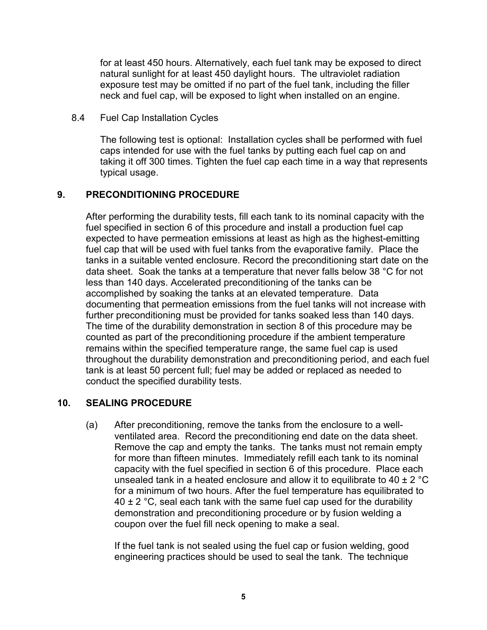for at least 450 hours. Alternatively, each fuel tank may be exposed to direct natural sunlight for at least 450 daylight hours. The ultraviolet radiation exposure test may be omitted if no part of the fuel tank, including the filler neck and fuel cap, will be exposed to light when installed on an engine.

<span id="page-6-0"></span>8.4 Fuel Cap Installation Cycles

The following test is optional: Installation cycles shall be performed with fuel caps intended for use with the fuel tanks by putting each fuel cap on and taking it off 300 times. Tighten the fuel cap each time in a way that represents typical usage.

#### <span id="page-6-1"></span>**9. PRECONDITIONING PROCEDURE**

After performing the durability tests, fill each tank to its nominal capacity with the fuel specified in section 6 of this procedure and install a production fuel cap expected to have permeation emissions at least as high as the highest-emitting fuel cap that will be used with fuel tanks from the evaporative family. Place the tanks in a suitable vented enclosure. Record the preconditioning start date on the data sheet. Soak the tanks at a temperature that never falls below 38 °C for not less than 140 days. Accelerated preconditioning of the tanks can be accomplished by soaking the tanks at an elevated temperature. Data documenting that permeation emissions from the fuel tanks will not increase with further preconditioning must be provided for tanks soaked less than 140 days. The time of the durability demonstration in section 8 of this procedure may be counted as part of the preconditioning procedure if the ambient temperature remains within the specified temperature range, the same fuel cap is used throughout the durability demonstration and preconditioning period, and each fuel tank is at least 50 percent full; fuel may be added or replaced as needed to conduct the specified durability tests.

#### <span id="page-6-2"></span>**10. SEALING PROCEDURE**

(a) After preconditioning, remove the tanks from the enclosure to a wellventilated area. Record the preconditioning end date on the data sheet. Remove the cap and empty the tanks. The tanks must not remain empty for more than fifteen minutes. Immediately refill each tank to its nominal capacity with the fuel specified in section 6 of this procedure. Place each unsealed tank in a heated enclosure and allow it to equilibrate to 40  $\pm$  2 °C for a minimum of two hours. After the fuel temperature has equilibrated to  $40 \pm 2$  °C, seal each tank with the same fuel cap used for the durability demonstration and preconditioning procedure or by fusion welding a coupon over the fuel fill neck opening to make a seal.

If the fuel tank is not sealed using the fuel cap or fusion welding, good engineering practices should be used to seal the tank. The technique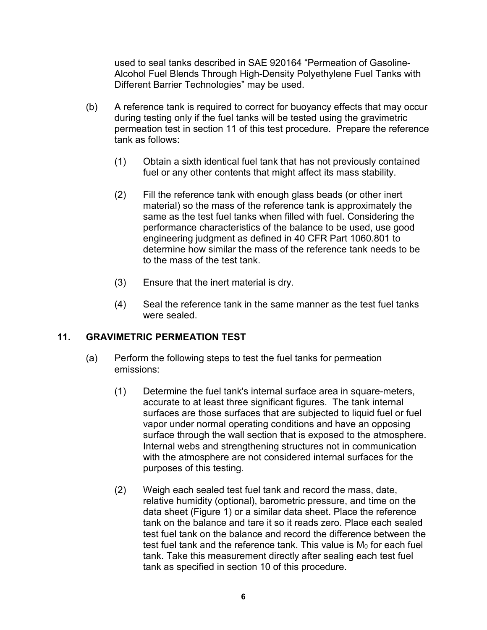used to seal tanks described in SAE 920164 "Permeation of Gasoline-Alcohol Fuel Blends Through High-Density Polyethylene Fuel Tanks with Different Barrier Technologies" may be used.

- (b) A reference tank is required to correct for buoyancy effects that may occur during testing only if the fuel tanks will be tested using the gravimetric permeation test in section 11 of this test procedure. Prepare the reference tank as follows:
	- (1) Obtain a sixth identical fuel tank that has not previously contained fuel or any other contents that might affect its mass stability.
	- (2) Fill the reference tank with enough glass beads (or other inert material) so the mass of the reference tank is approximately the same as the test fuel tanks when filled with fuel. Considering the performance characteristics of the balance to be used, use good engineering judgment as defined in 40 CFR Part 1060.801 to determine how similar the mass of the reference tank needs to be to the mass of the test tank.
	- (3) Ensure that the inert material is dry.
	- (4) Seal the reference tank in the same manner as the test fuel tanks were sealed.

## <span id="page-7-0"></span>**11. GRAVIMETRIC PERMEATION TEST**

- (a) Perform the following steps to test the fuel tanks for permeation emissions:
	- (1) Determine the fuel tank's internal surface area in square-meters, accurate to at least three significant figures. The tank internal surfaces are those surfaces that are subjected to liquid fuel or fuel vapor under normal operating conditions and have an opposing surface through the wall section that is exposed to the atmosphere. Internal webs and strengthening structures not in communication with the atmosphere are not considered internal surfaces for the purposes of this testing.
	- (2) Weigh each sealed test fuel tank and record the mass, date, relative humidity (optional), barometric pressure, and time on the data sheet (Figure 1) or a similar data sheet. Place the reference tank on the balance and tare it so it reads zero. Place each sealed test fuel tank on the balance and record the difference between the test fuel tank and the reference tank. This value is M<sub>0</sub> for each fuel tank. Take this measurement directly after sealing each test fuel tank as specified in section 10 of this procedure.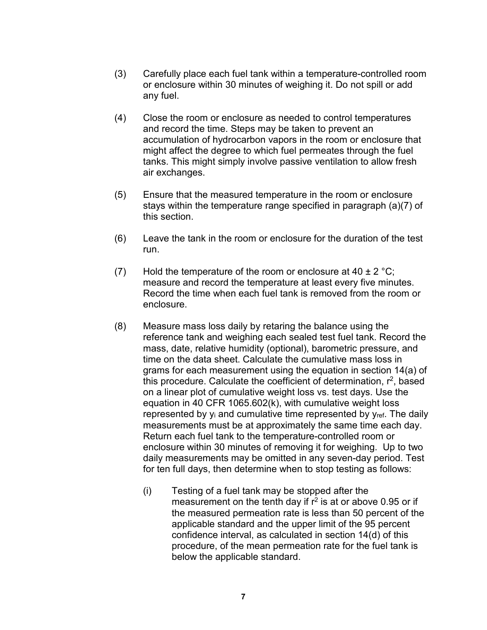- (3) Carefully place each fuel tank within a temperature-controlled room or enclosure within 30 minutes of weighing it. Do not spill or add any fuel.
- (4) Close the room or enclosure as needed to control temperatures and record the time. Steps may be taken to prevent an accumulation of hydrocarbon vapors in the room or enclosure that might affect the degree to which fuel permeates through the fuel tanks. This might simply involve passive ventilation to allow fresh air exchanges.
- (5) Ensure that the measured temperature in the room or enclosure stays within the temperature range specified in paragraph (a)(7) of this section.
- (6) Leave the tank in the room or enclosure for the duration of the test run.
- (7) Hold the temperature of the room or enclosure at  $40 \pm 2 \degree C$ ; measure and record the temperature at least every five minutes. Record the time when each fuel tank is removed from the room or enclosure.
- (8) Measure mass loss daily by retaring the balance using the reference tank and weighing each sealed test fuel tank. Record the mass, date, relative humidity (optional), barometric pressure, and time on the data sheet. Calculate the cumulative mass loss in grams for each measurement using the equation in section 14(a) of this procedure. Calculate the coefficient of determination,  $r^2$ , based on a linear plot of cumulative weight loss vs. test days. Use the equation in 40 CFR 1065.602(k), with cumulative weight loss represented by  $y_i$  and cumulative time represented by  $y_{ref}$ . The daily measurements must be at approximately the same time each day. Return each fuel tank to the temperature-controlled room or enclosure within 30 minutes of removing it for weighing. Up to two daily measurements may be omitted in any seven-day period. Test for ten full days, then determine when to stop testing as follows:
	- (i) Testing of a fuel tank may be stopped after the measurement on the tenth day if  $r^2$  is at or above 0.95 or if the measured permeation rate is less than 50 percent of the applicable standard and the upper limit of the 95 percent confidence interval, as calculated in section 14(d) of this procedure, of the mean permeation rate for the fuel tank is below the applicable standard.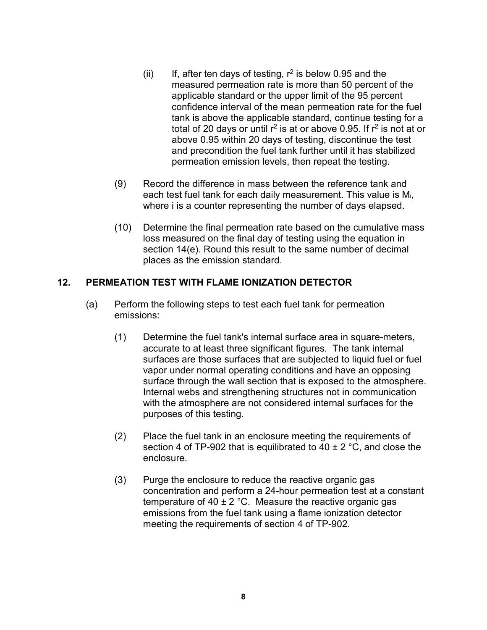- (ii) If, after ten days of testing,  $r^2$  is below 0.95 and the measured permeation rate is more than 50 percent of the applicable standard or the upper limit of the 95 percent confidence interval of the mean permeation rate for the fuel tank is above the applicable standard, continue testing for a total of 20 days or until  $r^2$  is at or above 0.95. If  $r^2$  is not at or above 0.95 within 20 days of testing, discontinue the test and precondition the fuel tank further until it has stabilized permeation emission levels, then repeat the testing.
- (9) Record the difference in mass between the reference tank and each test fuel tank for each daily measurement. This value is Mi, where i is a counter representing the number of days elapsed.
- (10) Determine the final permeation rate based on the cumulative mass loss measured on the final day of testing using the equation in section 14(e). Round this result to the same number of decimal places as the emission standard.

## <span id="page-9-0"></span>**12. PERMEATION TEST WITH FLAME IONIZATION DETECTOR**

- (a) Perform the following steps to test each fuel tank for permeation emissions:
	- (1) Determine the fuel tank's internal surface area in square-meters, accurate to at least three significant figures. The tank internal surfaces are those surfaces that are subjected to liquid fuel or fuel vapor under normal operating conditions and have an opposing surface through the wall section that is exposed to the atmosphere. Internal webs and strengthening structures not in communication with the atmosphere are not considered internal surfaces for the purposes of this testing.
	- (2) Place the fuel tank in an enclosure meeting the requirements of section 4 of TP-902 that is equilibrated to 40  $\pm$  2 °C, and close the enclosure.
	- (3) Purge the enclosure to reduce the reactive organic gas concentration and perform a 24-hour permeation test at a constant temperature of 40  $\pm$  2 °C. Measure the reactive organic gas emissions from the fuel tank using a flame ionization detector meeting the requirements of section 4 of TP-902.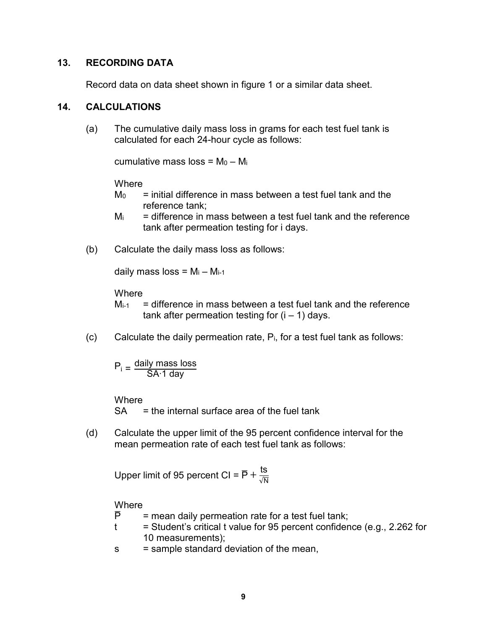#### <span id="page-10-0"></span>**13. RECORDING DATA**

Record data on data sheet shown in figure 1 or a similar data sheet.

#### <span id="page-10-1"></span>**14. CALCULATIONS**

(a) The cumulative daily mass loss in grams for each test fuel tank is calculated for each 24-hour cycle as follows:

cumulative mass loss =  $M_0 - M_i$ 

**Where** 

- $M_0$  = initial difference in mass between a test fuel tank and the reference tank;
- $M<sub>i</sub>$  = difference in mass between a test fuel tank and the reference tank after permeation testing for i days.
- (b) Calculate the daily mass loss as follows:

daily mass loss =  $M_i - M_{i-1}$ 

**Where** 

- $M<sub>i-1</sub>$  = difference in mass between a test fuel tank and the reference tank after permeation testing for  $(i - 1)$  days.
- $(c)$  Calculate the daily permeation rate,  $P_i$ , for a test fuel tank as follows:

$$
P_i = \frac{daily \text{ mass loss}}{SA \cdot 1 \text{ day}}
$$

**Where** 

 $SA =$  the internal surface area of the fuel tank

(d) Calculate the upper limit of the 95 percent confidence interval for the mean permeation rate of each test fuel tank as follows:

Upper limit of 95 percent CI =  $\overline{P}$  +  $\frac{\text{ts}}{\sqrt{N}}$ 

**Where** 

- $\overline{P}$  = mean daily permeation rate for a test fuel tank;
- $t =$  Student's critical t value for 95 percent confidence (e.g., 2.262 for 10 measurements);
- s = sample standard deviation of the mean,